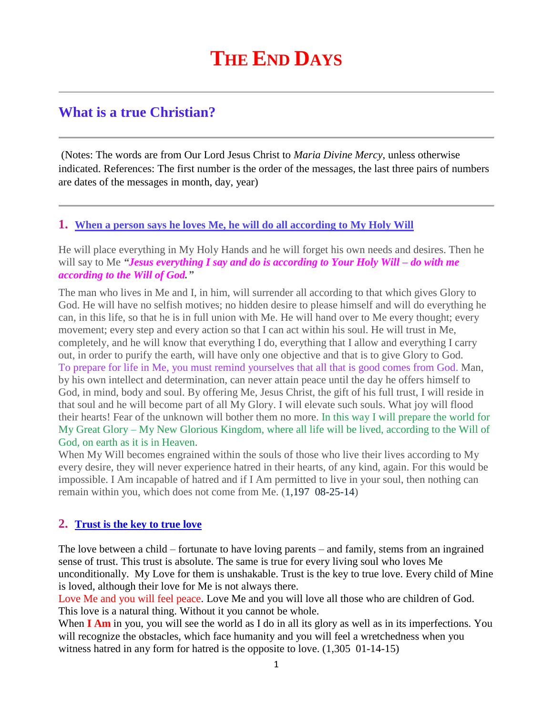# **THE END DAYS**

# **What is a true Christian?**

(Notes: The words are from Our Lord Jesus Christ to *Maria Divine Mercy*, unless otherwise indicated. References: The first number is the order of the messages, the last three pairs of numbers are dates of the messages in month, day, year)

## **1. [When a person says he loves Me, he will do all according to My Holy Will](http://www.thewarningsecondcoming.com/when-a-person-says-he-loves-me-he-will-do-all-according-to-my-holy-will/)**

He will place everything in My Holy Hands and he will forget his own needs and desires. Then he will say to Me *"Jesus everything I say and do is according to Your Holy Will – do with me according to the Will of God."*

The man who lives in Me and I, in him, will surrender all according to that which gives Glory to God. He will have no selfish motives; no hidden desire to please himself and will do everything he can, in this life, so that he is in full union with Me. He will hand over to Me every thought; every movement; every step and every action so that I can act within his soul. He will trust in Me, completely, and he will know that everything I do, everything that I allow and everything I carry out, in order to purify the earth, will have only one objective and that is to give Glory to God. To prepare for life in Me, you must remind yourselves that all that is good comes from God. Man, by his own intellect and determination, can never attain peace until the day he offers himself to God, in mind, body and soul. By offering Me, Jesus Christ, the gift of his full trust, I will reside in that soul and he will become part of all My Glory. I will elevate such souls. What joy will flood their hearts! Fear of the unknown will bother them no more. In this way I will prepare the world for My Great Glory – My New Glorious Kingdom, where all life will be lived, according to the Will of God, on earth as it is in Heaven.

When My Will becomes engrained within the souls of those who live their lives according to My every desire, they will never experience hatred in their hearts, of any kind, again. For this would be impossible. I Am incapable of hatred and if I Am permitted to live in your soul, then nothing can remain within you, which does not come from Me. (1,197 08-25-14)

# **2. [Trust is the key to true love](http://www.thewarningsecondcoming.com/trust-is-the-key-to-true-love/)**

The love between a child – fortunate to have loving parents – and family, stems from an ingrained sense of trust. This trust is absolute. The same is true for every [living](http://www.thewarningsecondcoming.com/trust-is-the-key-to-true-love/) soul who loves Me unconditionally. My Love for them is unshakable. Trust is the key to true love. Every child of Mine is loved, although their love for Me is not always there.

Love Me and you will feel peace. Love Me and you will love all those who are children of God. This love is a natural thing. Without it you cannot be whole.

When **I Am** in you, you will see the world as I do in all its glory as well as in its imperfections. You will recognize the obstacles, which face humanity and you will feel a wretchedness when you witness hatred in any form for hatred is the opposite to love. (1,305 01-14-15)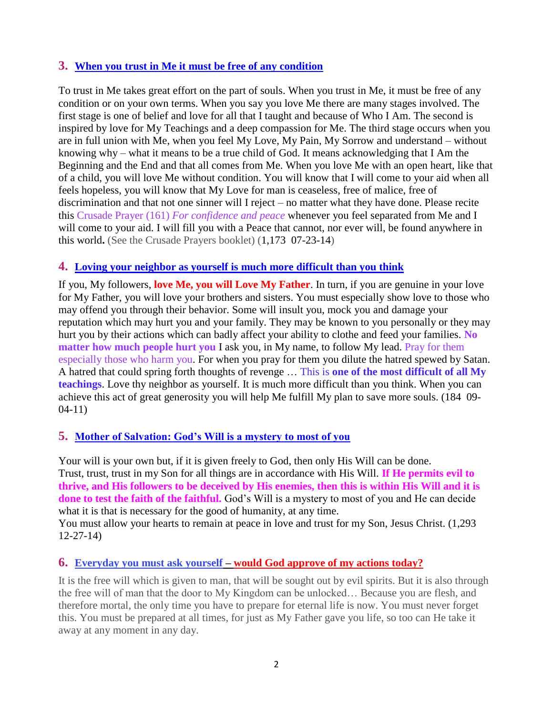# **3. [When you trust in Me it must be free of any condition](http://www.thewarningsecondcoming.com/when-you-trust-in-me-it-must-be-free-of-any-condition/)**

To trust in Me takes great effort on the part of souls. When you trust in Me, it must be free of any condition or on your own terms. When you say you love Me there are many stages involved. The first stage is one of belief and love for all that I taught and because of Who I Am. The second is inspired by love for My Teachings and a deep compassion for Me. The third stage occurs when you are in full union with Me, when you feel My Love, My Pain, My Sorrow and understand – without knowing why – what it means to be a true child of God. It means acknowledging that I Am the Beginning and the End and that all comes from Me. When you love Me with an open heart, like that of a child, you will love Me without condition. You will know that I will come to your aid when all feels hopeless, you will know that My Love for man is ceaseless, free of malice, free of discrimination and that not one sinner will I reject – no matter what they have done. Please recite this Crusade Prayer (161) *For confidence and peace* whenever you feel separated from Me and I will come to your aid. I will fill you with a Peace that cannot, nor ever will, be found anywhere in this world**.** (See the Crusade Prayers booklet) (1,173 07-23-14)

#### **4. [Loving your neighbor as yourself is much more difficult than you think](http://www.thewarningsecondcoming.com/loving-your-neighbour-as-yourself-is-much-more-difficult-than-you-think/)**

If you, My followers, **love Me, you will Love My Father**. In turn, if you are genuine in your love for My Father, you will love your brothers and sisters. You must especially show love to those who may offend you through their behavior. Some will insult you, mock you and damage your reputation which may hurt you and your family. They may be known to you personally or they may hurt you by their actions which can badly affect your ability to clothe and feed your families. **No matter how much people hurt you** I ask you, in My name, to follow My lead. Pray for them especially those who harm you. For when you pray for them you dilute the hatred spewed by Satan. A hatred that could spring forth thoughts of revenge … This is **one of the most difficult of all My teachings**. Love thy neighbor as yourself. It is much more difficult than you think. When you can achieve this act of great generosity you will help Me fulfill My plan to save more souls. (184 09- 04-11)

## **5. [Mother of Salvation: God's Will is a mystery to most of you](http://www.thewarningsecondcoming.com/mother-of-salvation-gods-will-is-a-mystery-to-most-of-you/)**

Your will is your own but, if it is given freely to God, then only His Will can be done. Trust, trust, trust in my Son for all things are in accordance with His Will. **If He permits evil to thrive, and His followers to be deceived by His enemies, then this is within His Will and it is done to test the faith of the faithful.** God's Will is a mystery to most of you and He can decide what it is that is necessary for the good of humanity, at any time.

You must allow your hearts to remain at peace in love and trust for my Son, Jesus Christ. (1,293 12-27-14)

## **6. Everyday you must ask yourself – [would God approve of my actions today?](http://www.thewarningsecondcoming.com/every-day-you-must-ask-yourself-would-god-approve-of-my-actions-today/)**

It is the free will which is given to man, that will be sought out by evil spirits. But it is also through the free will of man that the door to My Kingdom can be unlocked… Because you are flesh, and therefore mortal, the only time you have to prepare for eternal life is now. You must never forget this. You must be prepared at all times, for just as My Father gave you life, so too can He take it away at any moment in any day.